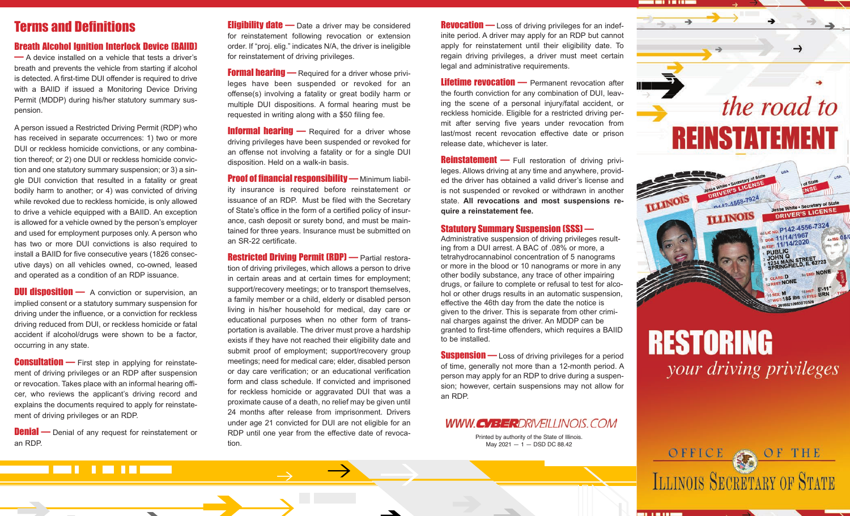## Terms and Definitions

## Breath Alcohol Ignition Interlock Device (BAIID)

— A device installed on a vehicle that tests a driver's breath and prevents the vehicle from starting if alcohol is detected. A first-time DUI offender is required to drive with a BAIID if issued a Monitoring Device Driving Permit (MDDP) during his/her statutory summary suspension.

A person issued a Restricted Driving Permit (RDP) who has received in separate occurrences: 1) two or more DUI or reckless homicide convictions, or any combination thereof; or 2) one DUI or reckless homicide conviction and one statutory summary suspension; or 3) a single DUI conviction that resulted in a fatality or great bodily harm to another; or 4) was convicted of driving while revoked due to reckless homicide, is only allowed to drive a vehicle equipped with a BAIID. An exception is allowed for a vehicle owned by the person's employer and used for employment purposes only. A person who has two or more DUI convictions is also required to install a BAIID for five consecutive years (1826 consecutive days) on all vehicles owned, co-owned, leased and operated as a condition of an RDP issuance.

**DUI disposition** — A conviction or supervision, an implied consent or a statutory summary suspension for driving under the influence, or a conviction for reckless driving reduced from DUI, or reckless homicide or fatal accident if alcohol/drugs were shown to be a factor, occurring in any state.

**Consultation** — First step in applying for reinstatement of driving privileges or an RDP after suspension or revocation. Takes place with an informal hearing officer, who reviews the applicant's driving record and explains the documents required to apply for reinstatement of driving privileges or an RDP.

**Denial** — Denial of any request for reinstatement or an RDP.

-------

 $\overline{\phantom{a}}$ 

**Eligibility date** — Date a driver may be considered for reinstatement following revocation or extension order. If "proj. elig." indicates N/A, the driver is ineligible for reinstatement of driving privileges.

**Formal hearing — Required for a driver whose privi**leges have been suspended or revoked for an offense(s) involving a fatality or great bodily harm or multiple DUI dispositions. A formal hearing must be requested in writing along with a \$50 filing fee.

**Informal hearing** — Required for a driver whose driving privileges have been suspended or revoked for an offense not involving a fatality or for a single DUI disposition. Held on a walk-in basis.

**Proof of financial responsibility — Minimum liabil**ity insurance is required before reinstatement or issuance of an RDP. Must be filed with the Secretary of State's office in the form of a certified policy of insurance, cash deposit or surety bond, and must be maintained for three years. Insurance must be submitted on an SR-22 certificate.

**Restricted Driving Permit (RDP)** — Partial restoration of driving privileges, which allows a person to drive in certain areas and at certain times for employment; support/recovery meetings; or to transport themselves, a family member or a child, elderly or disabled person living in his/her household for medical, day care or educational purposes when no other form of transportation is available. The driver must prove a hardship exists if they have not reached their eligibility date and submit proof of employment; support/recovery group meetings; need for medical care; elder, disabled person or day care verification; or an educational verification form and class schedule. If convicted and imprisoned for reckless homicide or aggravated DUI that was a proximate cause of a death, no relief may be given until 24 months after release from imprisonment. Drivers under age 21 convicted for DUI are not eligible for an RDP until one year from the effective date of revocation.

**Revocation** — Loss of driving privileges for an indefinite period. A driver may apply for an RDP but cannot apply for reinstatement until their eligibility date. To regain driving privileges, a driver must meet certain legal and administrative requirements.

Lifetime revocation - Permanent revocation after the fourth conviction for any combination of DUI, leaving the scene of a personal injury/fatal accident, or reckless homicide. Eligible for a restricted driving permit after serving five years under revocation from last/most recent revocation effective date or prison release date, whichever is later.

**Reinstatement** — Full restoration of driving privileges. Allows driving at any time and anywhere, provided the driver has obtained a valid driver's license and is not suspended or revoked or withdrawn in another state. **All revocations and most suspensions re quire a reinstatement fee.** 

## Statutory Summary Suspension (SSS) —

Administrative suspension of driving privileges resulting from a DUI arrest. A BAC of .08% or more, a tetrahydrocannabinol concentration of 5 nanograms or more in the blood or 10 nanograms or more in any other bodily substance, any trace of other impairing drugs, or failure to complete or refusal to test for alcohol or other drugs results in an automatic suspension, effective the 46th day from the date the notice is given to the driver. This is separate from other criminal charges against the driver. An MDDP can be granted to first-time offenders, which requires a BAIID to be installed.

**Suspension** — Loss of driving privileges for a period of time, generally not more than a 12-month period. A person may apply for an RDP to drive during a suspension; however, certain suspensions may not allow for an RDP.

## WWW CVBERDRIVEILLINOIS COM

Printed by authority of the State of Illinois. May 2021  $-1 -$  DSD DC 88.42



# **RESTORING** your driving privileges

ILLINOIS SECRETARY OF STATE